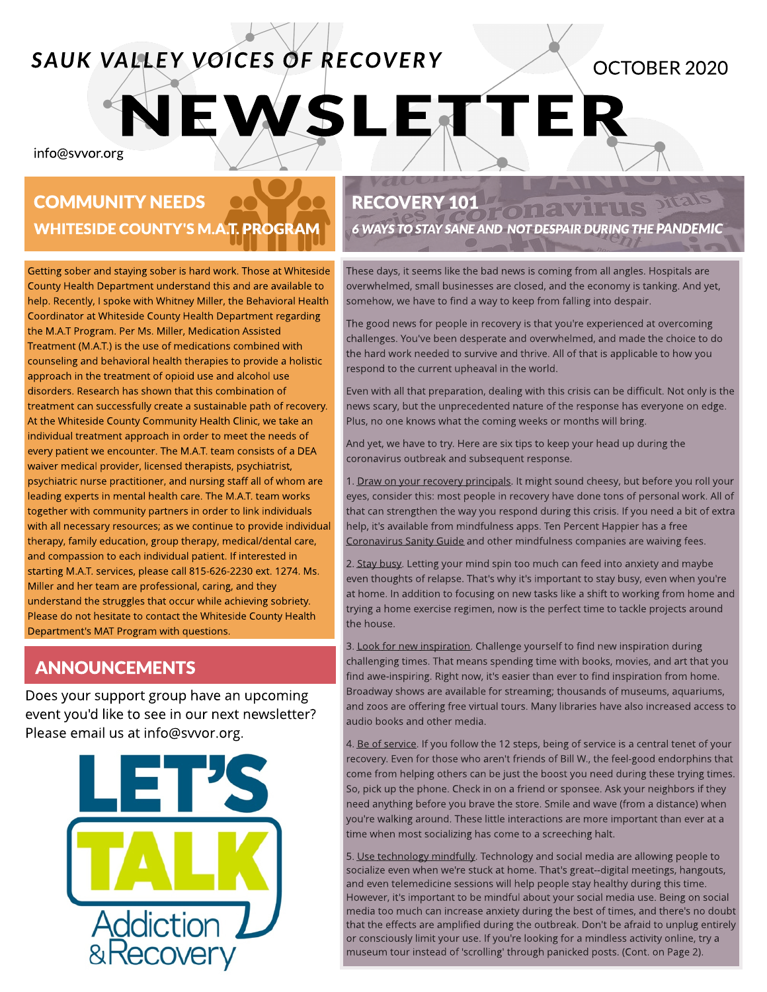# **SAUK VALLEY VOICES OF RECOVERY**

OCTOBER2020

info@svvor.org

# COMMUNITY NEEDS WHITESIDE COUNTY'S M.A.T. PROGRAM

Getting sober and staying sober is hard work. Those at Whiteside County Health Department understand this and are available to help. Recently, I spoke with Whitney Miller, the Behavioral Health Coordinator at Whiteside County Health Department regarding the M.A.T Program. Per Ms. Miller, Medication Assisted Treatment (M.A.T.) is the use of medications combined with counseling and behavioral health therapies to provide a holistic approach in the treatment of opioid use and alcohol use disorders. Research has shown that this combination of treatment can successfully create a sustainable path of recovery. At the Whiteside County Community Health Clinic, we take an individual treatment approach in order to meet the needs of every patient we encounter. The M.A.T. team consists of a DEA waiver medical provider, licensed therapists, psychiatrist, psychiatric nurse practitioner, and nursing staff all of whom are leading experts in mental health care. The M.A.T. team works together with community partners in order to link individuals with all necessary resources; as we continue to provide individual therapy, family education, group therapy, medical/dental care, and compassion to each individual patient. If interested in starting M.A.T. services, please call 815-626-2230 ext. 1274. Ms. Miller and her team are professional, caring, and they understand the struggles that occur while achieving sobriety. Please do not hesitate to contact the Whiteside County Health Department's MAT Program with questions.

## ANNOUNCEMENTS

Does your support group have an upcoming event you'd like to see in our next newsletter? Please email us at info@svvor.org.



### RECOVERY 101

EWSLETTER

**6 WAYSTOSTAYSANEAND NOTDESPAIRDURINGTHEPANDEMIC**

onavirus

These days, it seems like the bad news is coming from all angles. Hospitals are overwhelmed, small businesses are closed, and the economy is tanking. And yet, somehow, we have to find a way to keep from falling into despair.

The good news for people in recovery is that you're experienced at overcoming challenges. You've been desperate and overwhelmed, and made the choice to do the hard work needed to survive and thrive. All of that is applicable to how you respond to the current upheaval in the world.

Even with all that preparation, dealing with this crisis can be difficult. Not only is the news scary, but the unprecedented nature of the response has everyone on edge. Plus, no one knows what the coming weeks or months will bring.

And yet, we have to try. Here are six tips to keep your head up during the coronavirus outbreak and subsequent response.

1. Draw on your recovery principals. It might sound cheesy, but before you roll your eyes, consider this: most people in recovery have done tons of personal work. All of that can strengthen the way you respond during this crisis. If you need a bit of extra help, it's available from mindfulness apps. Ten Percent Happier has a free Coronavirus Sanity Guide and other mindfulness companies are waiving fees.

2. Stay busy. Letting your mind spin too much can feed into anxiety and maybe even thoughts of relapse. That's why it's important to stay busy, even when you're at home. In addition to focusing on new tasks like a shift to working from home and trying a home exercise regimen, now is the perfect time to tackle projects around the house.

3. Look for new inspiration. Challenge yourself to find new inspiration during challenging times. That means spending time with books, movies, and art that you find awe-inspiring. Right now, it's easier than ever to find inspiration from home. Broadway shows are available for streaming; thousands of museums, aquariums, and zoos are offering free virtual tours. Many libraries have also increased access to audio books and other media.

4. Be of service. If you follow the 12 steps, being of service is a central tenet of your recovery. Even for those who aren't friends of Bill W., the feel-good endorphins that come from helping others can be just the boost you need during these trying times. So, pick up the phone. Check in on a friend or sponsee. Ask your neighbors if they need anything before you brave the store. Smile and wave (from a distance) when you're walking around. These little interactions are more important than ever at a time when most socializing has come to a screeching halt.

5. Use technology mindfully. Technology and social media are allowing people to socialize even when we're stuck at home. That's great--digital meetings, hangouts, and even telemedicine sessions will help people stay healthy during this time. However, it's important to be mindful about your social media use. Being on social media too much can increase anxiety during the best of times, and there's no doubt that the effects are amplified during the outbreak. Don't be afraid to unplug entirely or consciously limit your use. If you're looking for a mindless activity online, try a museum tour instead of 'scrolling' through panicked posts. (Cont. on Page 2).